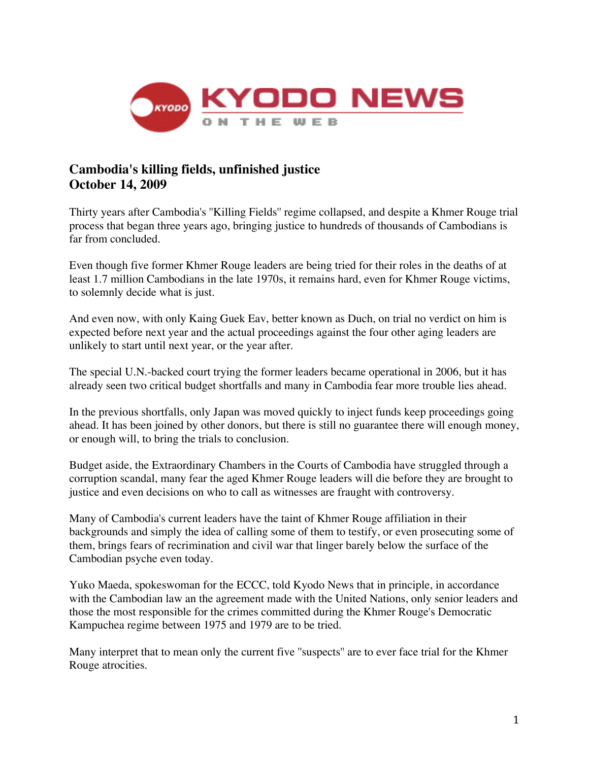

## **Cambodia's killing fields, unfinished justice October 14, 2009**

Thirty years after Cambodia's ''Killing Fields'' regime collapsed, and despite a Khmer Rouge trial process that began three years ago, bringing justice to hundreds of thousands of Cambodians is far from concluded.

Even though five former Khmer Rouge leaders are being tried for their roles in the deaths of at least 1.7 million Cambodians in the late 1970s, it remains hard, even for Khmer Rouge victims, to solemnly decide what is just.

And even now, with only Kaing Guek Eav, better known as Duch, on trial no verdict on him is expected before next year and the actual proceedings against the four other aging leaders are unlikely to start until next year, or the year after.

The special U.N.-backed court trying the former leaders became operational in 2006, but it has already seen two critical budget shortfalls and many in Cambodia fear more trouble lies ahead.

In the previous shortfalls, only Japan was moved quickly to inject funds keep proceedings going ahead. It has been joined by other donors, but there is still no guarantee there will enough money, or enough will, to bring the trials to conclusion.

Budget aside, the Extraordinary Chambers in the Courts of Cambodia have struggled through a corruption scandal, many fear the aged Khmer Rouge leaders will die before they are brought to justice and even decisions on who to call as witnesses are fraught with controversy.

Many of Cambodia's current leaders have the taint of Khmer Rouge affiliation in their backgrounds and simply the idea of calling some of them to testify, or even prosecuting some of them, brings fears of recrimination and civil war that linger barely below the surface of the Cambodian psyche even today.

Yuko Maeda, spokeswoman for the ECCC, told Kyodo News that in principle, in accordance with the Cambodian law an the agreement made with the United Nations, only senior leaders and those the most responsible for the crimes committed during the Khmer Rouge's Democratic Kampuchea regime between 1975 and 1979 are to be tried.

Many interpret that to mean only the current five ''suspects'' are to ever face trial for the Khmer Rouge atrocities.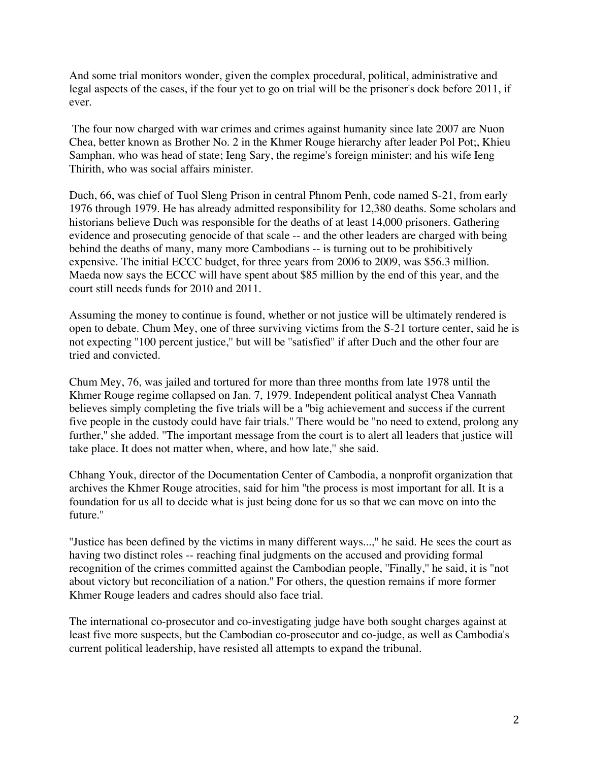And some trial monitors wonder, given the complex procedural, political, administrative and legal aspects of the cases, if the four yet to go on trial will be the prisoner's dock before 2011, if ever.

The four now charged with war crimes and crimes against humanity since late 2007 are Nuon Chea, better known as Brother No. 2 in the Khmer Rouge hierarchy after leader Pol Pot;, Khieu Samphan, who was head of state; Ieng Sary, the regime's foreign minister; and his wife Ieng Thirith, who was social affairs minister.

Duch, 66, was chief of Tuol Sleng Prison in central Phnom Penh, code named S-21, from early 1976 through 1979. He has already admitted responsibility for 12,380 deaths. Some scholars and historians believe Duch was responsible for the deaths of at least 14,000 prisoners. Gathering evidence and prosecuting genocide of that scale -- and the other leaders are charged with being behind the deaths of many, many more Cambodians -- is turning out to be prohibitively expensive. The initial ECCC budget, for three years from 2006 to 2009, was \$56.3 million. Maeda now says the ECCC will have spent about \$85 million by the end of this year, and the court still needs funds for 2010 and 2011.

Assuming the money to continue is found, whether or not justice will be ultimately rendered is open to debate. Chum Mey, one of three surviving victims from the S-21 torture center, said he is not expecting ''100 percent justice,'' but will be ''satisfied'' if after Duch and the other four are tried and convicted.

Chum Mey, 76, was jailed and tortured for more than three months from late 1978 until the Khmer Rouge regime collapsed on Jan. 7, 1979. Independent political analyst Chea Vannath believes simply completing the five trials will be a ''big achievement and success if the current five people in the custody could have fair trials.'' There would be ''no need to extend, prolong any further,'' she added. ''The important message from the court is to alert all leaders that justice will take place. It does not matter when, where, and how late,'' she said.

Chhang Youk, director of the Documentation Center of Cambodia, a nonprofit organization that archives the Khmer Rouge atrocities, said for him ''the process is most important for all. It is a foundation for us all to decide what is just being done for us so that we can move on into the future.''

''Justice has been defined by the victims in many different ways...,'' he said. He sees the court as having two distinct roles -- reaching final judgments on the accused and providing formal recognition of the crimes committed against the Cambodian people, ''Finally,'' he said, it is ''not about victory but reconciliation of a nation.'' For others, the question remains if more former Khmer Rouge leaders and cadres should also face trial.

The international co-prosecutor and co-investigating judge have both sought charges against at least five more suspects, but the Cambodian co-prosecutor and co-judge, as well as Cambodia's current political leadership, have resisted all attempts to expand the tribunal.